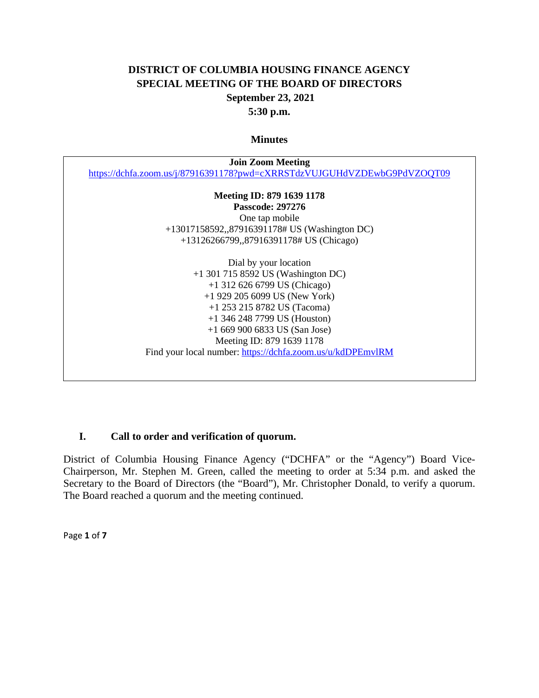## **DISTRICT OF COLUMBIA HOUSING FINANCE AGENCY SPECIAL MEETING OF THE BOARD OF DIRECTORS September 23, 2021 5:30 p.m.**

#### **Minutes**

| <b>Join Zoom Meeting</b> |                                                                          |
|--------------------------|--------------------------------------------------------------------------|
|                          | https://dchfa.zoom.us/j/87916391178?pwd=cXRRSTdzVUJGUHdVZDEwbG9PdVZOQT09 |
|                          | Meeting ID: 879 1639 1178                                                |
|                          | <b>Passcode: 297276</b>                                                  |
|                          | One tap mobile                                                           |
|                          | +13017158592,,87916391178# US (Washington DC)                            |
|                          | +13126266799,,87916391178# US (Chicago)                                  |
|                          | Dial by your location                                                    |
|                          | $+1$ 301 715 8592 US (Washington DC)                                     |
|                          | $+1$ 312 626 6799 US (Chicago)                                           |
|                          | $+1$ 929 205 6099 US (New York)                                          |
|                          | $+1$ 253 215 8782 US (Tacoma)                                            |
|                          | $+1$ 346 248 7799 US (Houston)                                           |
|                          | $+16699006833$ US (San Jose)                                             |
|                          | Meeting ID: 879 1639 1178                                                |
|                          | Find your local number: https://dchfa.zoom.us/u/kdDPEmvlRM               |

## **I. Call to order and verification of quorum.**

District of Columbia Housing Finance Agency ("DCHFA" or the "Agency") Board Vice-Chairperson, Mr. Stephen M. Green, called the meeting to order at 5:34 p.m. and asked the Secretary to the Board of Directors (the "Board"), Mr. Christopher Donald, to verify a quorum. The Board reached a quorum and the meeting continued.

Page **1** of **7**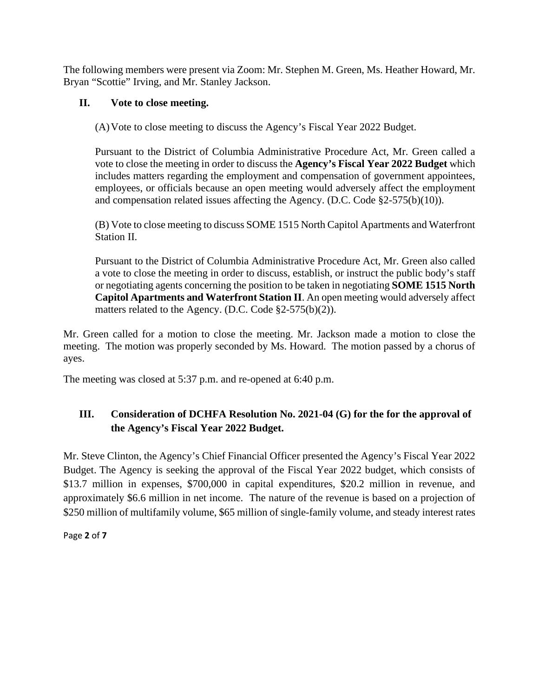The following members were present via Zoom: Mr. Stephen M. Green, Ms. Heather Howard, Mr. Bryan "Scottie" Irving, and Mr. Stanley Jackson.

## **II. Vote to close meeting.**

(A)Vote to close meeting to discuss the Agency's Fiscal Year 2022 Budget.

Pursuant to the District of Columbia Administrative Procedure Act, Mr. Green called a vote to close the meeting in order to discuss the **Agency's Fiscal Year 2022 Budget** which includes matters regarding the employment and compensation of government appointees, employees, or officials because an open meeting would adversely affect the employment and compensation related issues affecting the Agency. (D.C. Code  $\S2-575(b)(10)$ ).

(B) Vote to close meeting to discuss SOME 1515 North Capitol Apartments and Waterfront Station II.

Pursuant to the District of Columbia Administrative Procedure Act, Mr. Green also called a vote to close the meeting in order to discuss, establish, or instruct the public body's staff or negotiating agents concerning the position to be taken in negotiating **SOME 1515 North Capitol Apartments and Waterfront Station II**. An open meeting would adversely affect matters related to the Agency. (D.C. Code §2-575(b)(2)).

Mr. Green called for a motion to close the meeting. Mr. Jackson made a motion to close the meeting. The motion was properly seconded by Ms. Howard. The motion passed by a chorus of ayes.

The meeting was closed at 5:37 p.m. and re-opened at 6:40 p.m.

# **III. Consideration of DCHFA Resolution No. 2021-04 (G) for the for the approval of the Agency's Fiscal Year 2022 Budget.**

Mr. Steve Clinton, the Agency's Chief Financial Officer presented the Agency's Fiscal Year 2022 Budget. The Agency is seeking the approval of the Fiscal Year 2022 budget, which consists of \$13.7 million in expenses, \$700,000 in capital expenditures, \$20.2 million in revenue, and approximately \$6.6 million in net income. The nature of the revenue is based on a projection of \$250 million of multifamily volume, \$65 million of single-family volume, and steady interest rates

Page **2** of **7**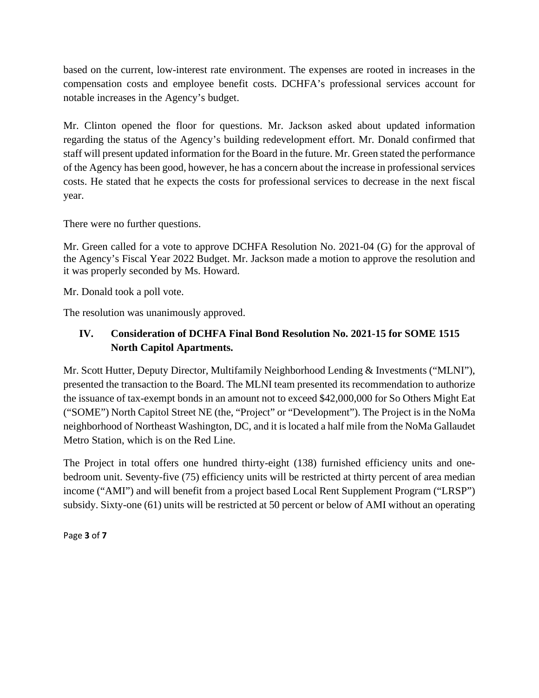based on the current, low-interest rate environment. The expenses are rooted in increases in the compensation costs and employee benefit costs. DCHFA's professional services account for notable increases in the Agency's budget.

Mr. Clinton opened the floor for questions. Mr. Jackson asked about updated information regarding the status of the Agency's building redevelopment effort. Mr. Donald confirmed that staff will present updated information for the Board in the future. Mr. Green stated the performance of the Agency has been good, however, he has a concern about the increase in professional services costs. He stated that he expects the costs for professional services to decrease in the next fiscal year.

There were no further questions.

Mr. Green called for a vote to approve DCHFA Resolution No. 2021-04 (G) for the approval of the Agency's Fiscal Year 2022 Budget. Mr. Jackson made a motion to approve the resolution and it was properly seconded by Ms. Howard.

Mr. Donald took a poll vote.

The resolution was unanimously approved.

## **IV. Consideration of DCHFA Final Bond Resolution No. 2021-15 for SOME 1515 North Capitol Apartments.**

Mr. Scott Hutter, Deputy Director, Multifamily Neighborhood Lending & Investments ("MLNI"), presented the transaction to the Board. The MLNI team presented its recommendation to authorize the issuance of tax-exempt bonds in an amount not to exceed \$42,000,000 for So Others Might Eat ("SOME") North Capitol Street NE (the, "Project" or "Development"). The Project is in the NoMa neighborhood of Northeast Washington, DC, and it is located a half mile from the NoMa Gallaudet Metro Station, which is on the Red Line.

The Project in total offers one hundred thirty-eight (138) furnished efficiency units and onebedroom unit. Seventy-five (75) efficiency units will be restricted at thirty percent of area median income ("AMI") and will benefit from a project based Local Rent Supplement Program ("LRSP") subsidy. Sixty-one (61) units will be restricted at 50 percent or below of AMI without an operating

Page **3** of **7**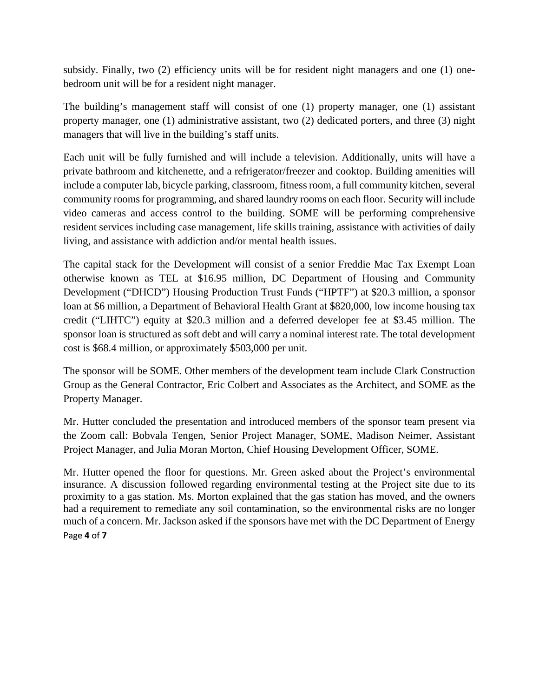subsidy. Finally, two (2) efficiency units will be for resident night managers and one (1) onebedroom unit will be for a resident night manager.

The building's management staff will consist of one (1) property manager, one (1) assistant property manager, one (1) administrative assistant, two (2) dedicated porters, and three (3) night managers that will live in the building's staff units.

Each unit will be fully furnished and will include a television. Additionally, units will have a private bathroom and kitchenette, and a refrigerator/freezer and cooktop. Building amenities will include a computer lab, bicycle parking, classroom, fitness room, a full community kitchen, several community rooms for programming, and shared laundry rooms on each floor. Security will include video cameras and access control to the building. SOME will be performing comprehensive resident services including case management, life skills training, assistance with activities of daily living, and assistance with addiction and/or mental health issues.

The capital stack for the Development will consist of a senior Freddie Mac Tax Exempt Loan otherwise known as TEL at \$16.95 million, DC Department of Housing and Community Development ("DHCD") Housing Production Trust Funds ("HPTF") at \$20.3 million, a sponsor loan at \$6 million, a Department of Behavioral Health Grant at \$820,000, low income housing tax credit ("LIHTC") equity at \$20.3 million and a deferred developer fee at \$3.45 million. The sponsor loan is structured as soft debt and will carry a nominal interest rate. The total development cost is \$68.4 million, or approximately \$503,000 per unit.

The sponsor will be SOME. Other members of the development team include Clark Construction Group as the General Contractor, Eric Colbert and Associates as the Architect, and SOME as the Property Manager.

Mr. Hutter concluded the presentation and introduced members of the sponsor team present via the Zoom call: Bobvala Tengen, Senior Project Manager, SOME, Madison Neimer, Assistant Project Manager, and Julia Moran Morton, Chief Housing Development Officer, SOME.

Page **4** of **7** Mr. Hutter opened the floor for questions. Mr. Green asked about the Project's environmental insurance. A discussion followed regarding environmental testing at the Project site due to its proximity to a gas station. Ms. Morton explained that the gas station has moved, and the owners had a requirement to remediate any soil contamination, so the environmental risks are no longer much of a concern. Mr. Jackson asked if the sponsors have met with the DC Department of Energy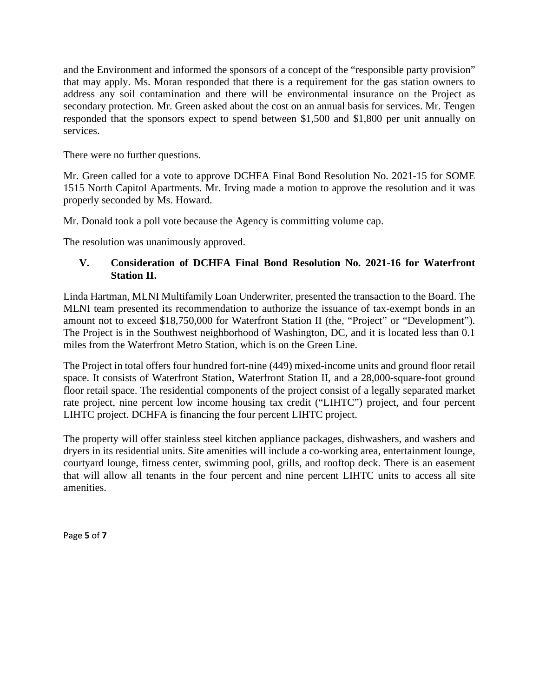and the Environment and informed the sponsors of a concept of the "responsible party provision" that may apply. Ms. Moran responded that there is a requirement for the gas station owners to address any soil contamination and there will be environmental insurance on the Project as secondary protection. Mr. Green asked about the cost on an annual basis for services. Mr. Tengen responded that the sponsors expect to spend between \$1,500 and \$1,800 per unit annually on services.

There were no further questions.

Mr. Green called for a vote to approve DCHFA Final Bond Resolution No. 2021-15 for SOME 1515 North Capitol Apartments. Mr. Irving made a motion to approve the resolution and it was properly seconded by Ms. Howard.

Mr. Donald took a poll vote because the Agency is committing volume cap.

The resolution was unanimously approved.

## **V. Consideration of DCHFA Final Bond Resolution No. 2021-16 for Waterfront Station II.**

Linda Hartman, MLNI Multifamily Loan Underwriter, presented the transaction to the Board. The MLNI team presented its recommendation to authorize the issuance of tax-exempt bonds in an amount not to exceed \$18,750,000 for Waterfront Station II (the, "Project" or "Development"). The Project is in the Southwest neighborhood of Washington, DC, and it is located less than 0.1 miles from the Waterfront Metro Station, which is on the Green Line.

The Project in total offers four hundred fort-nine (449) mixed-income units and ground floor retail space. It consists of Waterfront Station, Waterfront Station II, and a 28,000-square-foot ground floor retail space. The residential components of the project consist of a legally separated market rate project, nine percent low income housing tax credit ("LIHTC") project, and four percent LIHTC project. DCHFA is financing the four percent LIHTC project.

The property will offer stainless steel kitchen appliance packages, dishwashers, and washers and dryers in its residential units. Site amenities will include a co-working area, entertainment lounge, courtyard lounge, fitness center, swimming pool, grills, and rooftop deck. There is an easement that will allow all tenants in the four percent and nine percent LIHTC units to access all site amenities.

Page **5** of **7**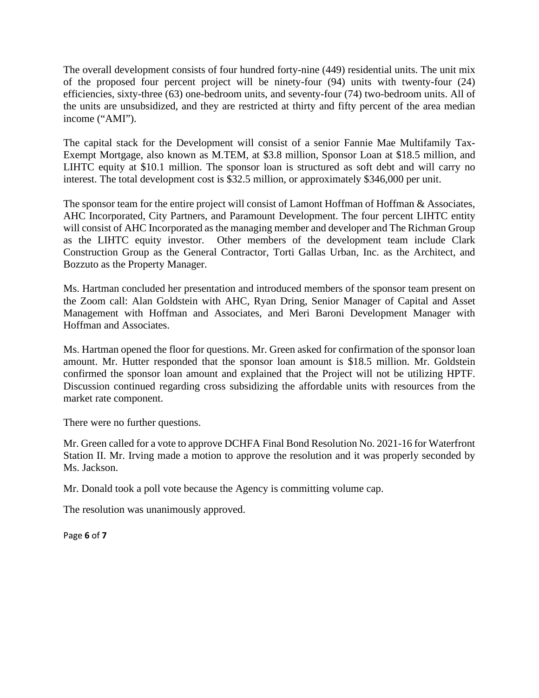The overall development consists of four hundred forty-nine (449) residential units. The unit mix of the proposed four percent project will be ninety-four (94) units with twenty-four (24) efficiencies, sixty-three (63) one-bedroom units, and seventy-four (74) two-bedroom units. All of the units are unsubsidized, and they are restricted at thirty and fifty percent of the area median income ("AMI").

The capital stack for the Development will consist of a senior Fannie Mae Multifamily Tax-Exempt Mortgage, also known as M.TEM, at \$3.8 million, Sponsor Loan at \$18.5 million, and LIHTC equity at \$10.1 million. The sponsor loan is structured as soft debt and will carry no interest. The total development cost is \$32.5 million, or approximately \$346,000 per unit.

The sponsor team for the entire project will consist of Lamont Hoffman of Hoffman & Associates, AHC Incorporated, City Partners, and Paramount Development. The four percent LIHTC entity will consist of AHC Incorporated as the managing member and developer and The Richman Group as the LIHTC equity investor. Other members of the development team include Clark Construction Group as the General Contractor, Torti Gallas Urban, Inc. as the Architect, and Bozzuto as the Property Manager.

Ms. Hartman concluded her presentation and introduced members of the sponsor team present on the Zoom call: Alan Goldstein with AHC, Ryan Dring, Senior Manager of Capital and Asset Management with Hoffman and Associates, and Meri Baroni Development Manager with Hoffman and Associates.

Ms. Hartman opened the floor for questions. Mr. Green asked for confirmation of the sponsor loan amount. Mr. Hutter responded that the sponsor loan amount is \$18.5 million. Mr. Goldstein confirmed the sponsor loan amount and explained that the Project will not be utilizing HPTF. Discussion continued regarding cross subsidizing the affordable units with resources from the market rate component.

There were no further questions.

Mr. Green called for a vote to approve DCHFA Final Bond Resolution No. 2021-16 for Waterfront Station II. Mr. Irving made a motion to approve the resolution and it was properly seconded by Ms. Jackson.

Mr. Donald took a poll vote because the Agency is committing volume cap.

The resolution was unanimously approved.

Page **6** of **7**